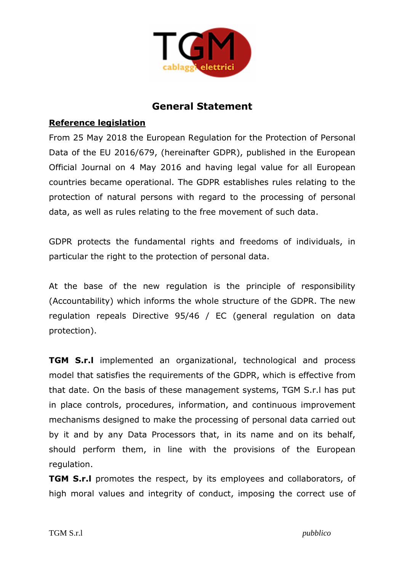

# **General Statement**

#### **Reference legislation**

From 25 May 2018 the European Regulation for the Protection of Personal Data of the EU 2016/679, (hereinafter GDPR), published in the European Official Journal on 4 May 2016 and having legal value for all European countries became operational. The GDPR establishes rules relating to the protection of natural persons with regard to the processing of personal data, as well as rules relating to the free movement of such data.

GDPR protects the fundamental rights and freedoms of individuals, in particular the right to the protection of personal data.

At the base of the new regulation is the principle of responsibility (Accountability) which informs the whole structure of the GDPR. The new regulation repeals Directive 95/46 / EC (general regulation on data protection).

**TGM S.r.l** implemented an organizational, technological and process model that satisfies the requirements of the GDPR, which is effective from that date. On the basis of these management systems, TGM S.r.l has put in place controls, procedures, information, and continuous improvement mechanisms designed to make the processing of personal data carried out by it and by any Data Processors that, in its name and on its behalf, should perform them, in line with the provisions of the European regulation.

**TGM S.r.l** promotes the respect, by its employees and collaborators, of high moral values and integrity of conduct, imposing the correct use of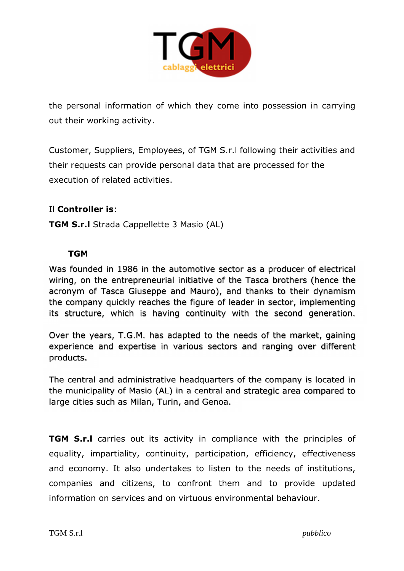

the personal information of which they come into possession in carrying out their working activity.

Customer, Suppliers, Employees, of TGM S.r.l following their activities and their requests can provide personal data that are processed for the execution of related activities.

## Il **Controller is**:

**TGM S.r.l** Strada Cappellette 3 Masio (AL)

#### **TGM**

Was founded in 1986 in the automotive sector as a producer of electrical wiring, on the entrepreneurial initiative of the Tasca brothers (hence the acronym of Tasca Giuseppe and Mauro), and thanks to their dynamism the company quickly reaches the figure of leader in sector, implementing its structure, which is having continuity with the second generation.

Over the years, T.G.M. has adapted to the needs of the market, gaining experience and expertise in various sectors and ranging over different products.

The central and administrative headquarters of the company is located in the municipality of Masio (AL) in a central and strategic area compared to large cities such as Milan, Turin, and Genoa.

**TGM S.r.l** carries out its activity in compliance with the principles of equality, impartiality, continuity, participation, efficiency, effectiveness and economy. It also undertakes to listen to the needs of institutions, companies and citizens, to confront them and to provide updated information on services and on virtuous environmental behaviour.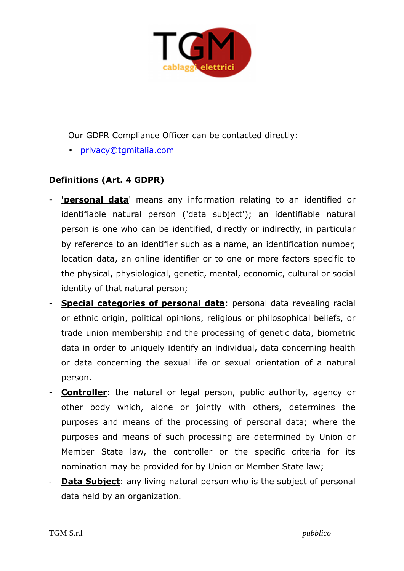

Our GDPR Compliance Officer can be contacted directly:

• privacy@tgmitalia.com

# **Definitions (Art. 4 GDPR)**

- **'personal data'** means any information relating to an identified or identifiable natural person ('data subject'); an identifiable natural person is one who can be identified, directly or indirectly, in particular by reference to an identifier such as a name, an identification number, location data, an online identifier or to one or more factors specific to the physical, physiological, genetic, mental, economic, cultural or social identity of that natural person;
- **Special categories of personal data**: personal data revealing racial or ethnic origin, political opinions, religious or philosophical beliefs, or trade union membership and the processing of genetic data, biometric data in order to uniquely identify an individual, data concerning health or data concerning the sexual life or sexual orientation of a natural person.
- **Controller**: the natural or legal person, public authority, agency or other body which, alone or jointly with others, determines the purposes and means of the processing of personal data; where the purposes and means of such processing are determined by Union or Member State law, the controller or the specific criteria for its nomination may be provided for by Union or Member State law;
- **Data Subject:** any living natural person who is the subject of personal data held by an organization.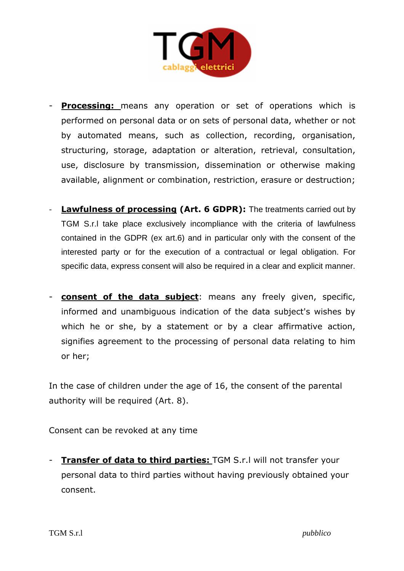

- **Processing:** means any operation or set of operations which is performed on personal data or on sets of personal data, whether or not by automated means, such as collection, recording, organisation, structuring, storage, adaptation or alteration, retrieval, consultation, use, disclosure by transmission, dissemination or otherwise making available, alignment or combination, restriction, erasure or destruction;
- **Lawfulness of processing (Art. 6 GDPR):** The treatments carried out by TGM S.r.l take place exclusively incompliance with the criteria of lawfulness contained in the GDPR (ex art.6) and in particular only with the consent of the interested party or for the execution of a contractual or legal obligation. For specific data, express consent will also be required in a clear and explicit manner.
- **consent of the data subject**: means any freely given, specific, informed and unambiguous indication of the data subject's wishes by which he or she, by a statement or by a clear affirmative action, signifies agreement to the processing of personal data relating to him or her;

In the case of children under the age of 16, the consent of the parental authority will be required (Art. 8).

Consent can be revoked at any time

- **Transfer of data to third parties:** TGM S.r.l will not transfer your personal data to third parties without having previously obtained your consent.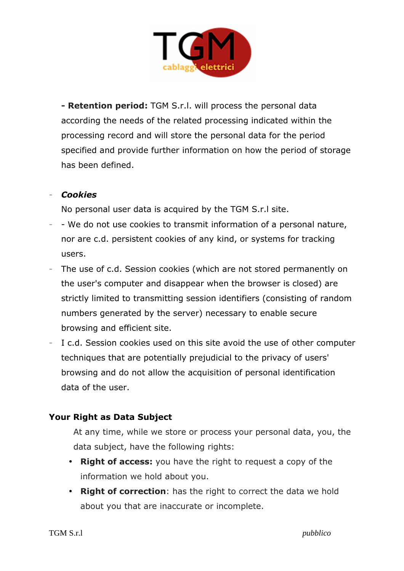

**- Retention period:** TGM S.r.l. will process the personal data according the needs of the related processing indicated within the processing record and will store the personal data for the period specified and provide further information on how the period of storage has been defined.

#### - *Cookies*

No personal user data is acquired by the TGM S.r.l site.

- We do not use cookies to transmit information of a personal nature, nor are c.d. persistent cookies of any kind, or systems for tracking users.
- The use of c.d. Session cookies (which are not stored permanently on the user's computer and disappear when the browser is closed) are strictly limited to transmitting session identifiers (consisting of random numbers generated by the server) necessary to enable secure browsing and efficient site.
- I c.d. Session cookies used on this site avoid the use of other computer techniques that are potentially prejudicial to the privacy of users' browsing and do not allow the acquisition of personal identification data of the user.

## **Your Right as Data Subject**

At any time, while we store or process your personal data, you, the data subject, have the following rights:

- **Right of access:** you have the right to request a copy of the information we hold about you.
- **Right of correction**: has the right to correct the data we hold about you that are inaccurate or incomplete.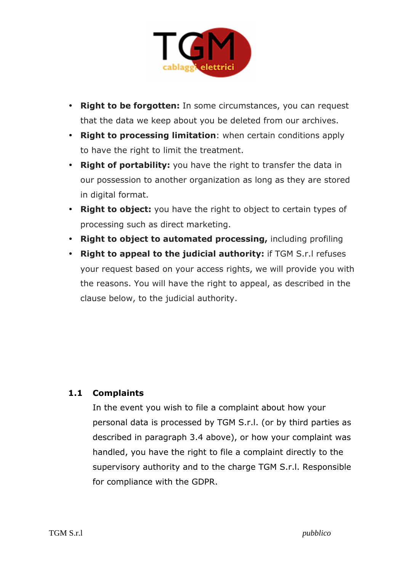

- **Right to be forgotten:** In some circumstances, you can request that the data we keep about you be deleted from our archives.
- **Right to processing limitation**: when certain conditions apply to have the right to limit the treatment.
- **Right of portability:** you have the right to transfer the data in our possession to another organization as long as they are stored in digital format.
- **Right to object:** you have the right to object to certain types of processing such as direct marketing.
- **Right to object to automated processing,** including profiling
- **Right to appeal to the judicial authority:** if TGM S.r.l refuses your request based on your access rights, we will provide you with the reasons. You will have the right to appeal, as described in the clause below, to the judicial authority.

## **1.1 Complaints**

In the event you wish to file a complaint about how your personal data is processed by TGM S.r.l. (or by third parties as described in paragraph 3.4 above), or how your complaint was handled, you have the right to file a complaint directly to the supervisory authority and to the charge TGM S.r.l. Responsible for compliance with the GDPR.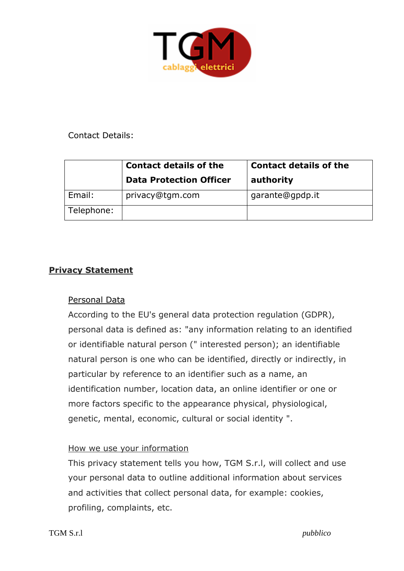

#### Contact Details:

|            | <b>Contact details of the</b><br><b>Data Protection Officer</b> | <b>Contact details of the</b><br>authority |
|------------|-----------------------------------------------------------------|--------------------------------------------|
| Email:     | privacy@tgm.com                                                 | garante@gpdp.it                            |
| Telephone: |                                                                 |                                            |

#### **Privacy Statement**

## Personal Data

According to the EU's general data protection regulation (GDPR), personal data is defined as: "any information relating to an identified or identifiable natural person (" interested person); an identifiable natural person is one who can be identified, directly or indirectly, in particular by reference to an identifier such as a name, an identification number, location data, an online identifier or one or more factors specific to the appearance physical, physiological, genetic, mental, economic, cultural or social identity ".

#### How we use your information

This privacy statement tells you how, TGM S.r.l, will collect and use your personal data to outline additional information about services and activities that collect personal data, for example: cookies, profiling, complaints, etc.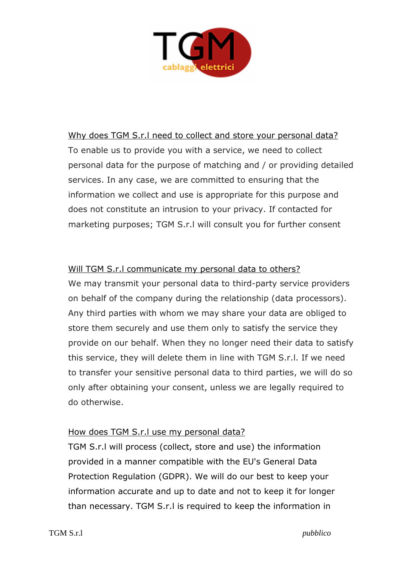

Why does TGM S.r.l need to collect and store your personal data? To enable us to provide you with a service, we need to collect personal data for the purpose of matching and / or providing detailed services. In any case, we are committed to ensuring that the information we collect and use is appropriate for this purpose and does not constitute an intrusion to your privacy. If contacted for marketing purposes; TGM S.r.l will consult you for further consent

#### Will TGM S.r.l communicate my personal data to others?

We may transmit your personal data to third-party service providers on behalf of the company during the relationship (data processors). Any third parties with whom we may share your data are obliged to store them securely and use them only to satisfy the service they provide on our behalf. When they no longer need their data to satisfy this service, they will delete them in line with TGM S.r.l. If we need to transfer your sensitive personal data to third parties, we will do so only after obtaining your consent, unless we are legally required to do otherwise.

#### How does TGM S.r.l use my personal data?

TGM S.r.l will process (collect, store and use) the information provided in a manner compatible with the EU's General Data Protection Regulation (GDPR). We will do our best to keep your information accurate and up to date and not to keep it for longer than necessary. TGM S.r.l is required to keep the information in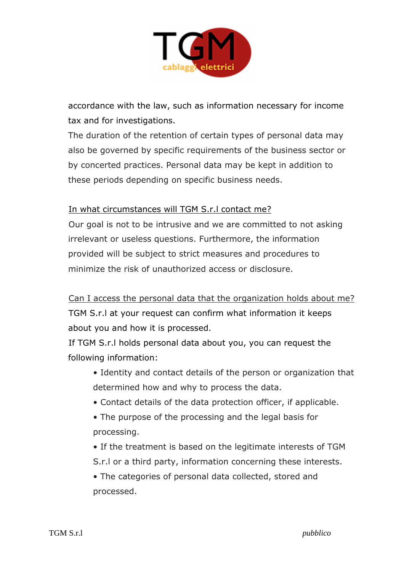

accordance with the law, such as information necessary for income tax and for investigations.

The duration of the retention of certain types of personal data may also be governed by specific requirements of the business sector or by concerted practices. Personal data may be kept in addition to these periods depending on specific business needs.

## In what circumstances will TGM S.r.l contact me?

Our goal is not to be intrusive and we are committed to not asking irrelevant or useless questions. Furthermore, the information provided will be subject to strict measures and procedures to minimize the risk of unauthorized access or disclosure.

Can I access the personal data that the organization holds about me? TGM S.r.l at your request can confirm what information it keeps about you and how it is processed.

If TGM S.r.l holds personal data about you, you can request the following information:

- Identity and contact details of the person or organization that determined how and why to process the data.
- Contact details of the data protection officer, if applicable.
- The purpose of the processing and the legal basis for processing.
- If the treatment is based on the legitimate interests of TGM S.r.l or a third party, information concerning these interests.

• The categories of personal data collected, stored and processed.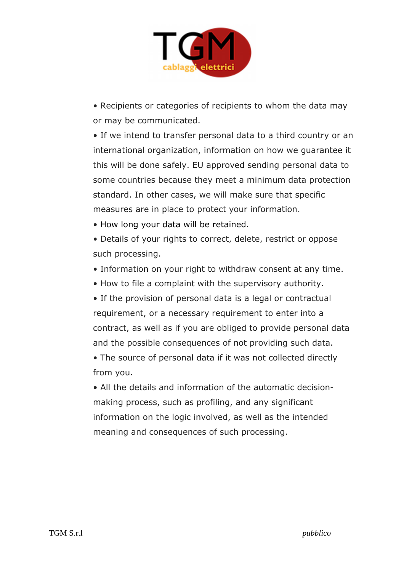

• Recipients or categories of recipients to whom the data may or may be communicated.

• If we intend to transfer personal data to a third country or an international organization, information on how we guarantee it this will be done safely. EU approved sending personal data to some countries because they meet a minimum data protection standard. In other cases, we will make sure that specific measures are in place to protect your information.

• How long your data will be retained.

• Details of your rights to correct, delete, restrict or oppose such processing.

- Information on your right to withdraw consent at any time.
- How to file a complaint with the supervisory authority.

• If the provision of personal data is a legal or contractual requirement, or a necessary requirement to enter into a contract, as well as if you are obliged to provide personal data and the possible consequences of not providing such data.

• The source of personal data if it was not collected directly from you.

• All the details and information of the automatic decisionmaking process, such as profiling, and any significant information on the logic involved, as well as the intended meaning and consequences of such processing.